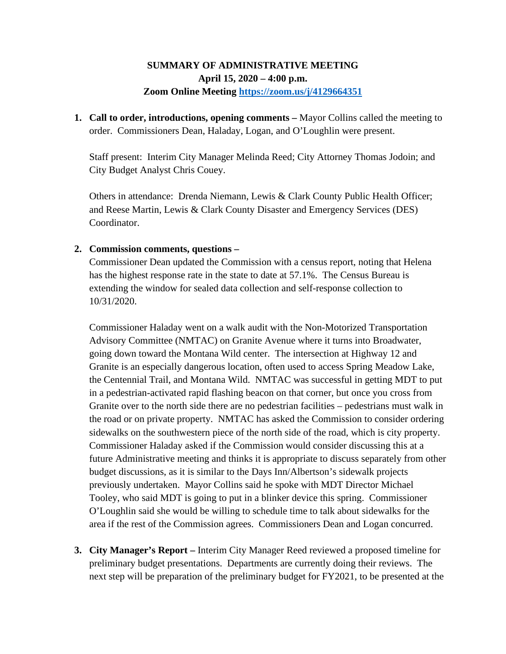## **SUMMARY OF ADMINISTRATIVE MEETING April 15, 2020 – 4:00 p.m. Zoom Online Meeting<https://zoom.us/j/4129664351>**

**1. Call to order, introductions, opening comments –** Mayor Collins called the meeting to order. Commissioners Dean, Haladay, Logan, and O'Loughlin were present.

Staff present: Interim City Manager Melinda Reed; City Attorney Thomas Jodoin; and City Budget Analyst Chris Couey.

Others in attendance: Drenda Niemann, Lewis & Clark County Public Health Officer; and Reese Martin, Lewis & Clark County Disaster and Emergency Services (DES) Coordinator.

## **2. Commission comments, questions –**

Commissioner Dean updated the Commission with a census report, noting that Helena has the highest response rate in the state to date at 57.1%. The Census Bureau is extending the window for sealed data collection and self-response collection to 10/31/2020.

Commissioner Haladay went on a walk audit with the Non-Motorized Transportation Advisory Committee (NMTAC) on Granite Avenue where it turns into Broadwater, going down toward the Montana Wild center. The intersection at Highway 12 and Granite is an especially dangerous location, often used to access Spring Meadow Lake, the Centennial Trail, and Montana Wild. NMTAC was successful in getting MDT to put in a pedestrian-activated rapid flashing beacon on that corner, but once you cross from Granite over to the north side there are no pedestrian facilities – pedestrians must walk in the road or on private property. NMTAC has asked the Commission to consider ordering sidewalks on the southwestern piece of the north side of the road, which is city property. Commissioner Haladay asked if the Commission would consider discussing this at a future Administrative meeting and thinks it is appropriate to discuss separately from other budget discussions, as it is similar to the Days Inn/Albertson's sidewalk projects previously undertaken. Mayor Collins said he spoke with MDT Director Michael Tooley, who said MDT is going to put in a blinker device this spring. Commissioner O'Loughlin said she would be willing to schedule time to talk about sidewalks for the area if the rest of the Commission agrees. Commissioners Dean and Logan concurred.

**3. City Manager's Report –** Interim City Manager Reed reviewed a proposed timeline for preliminary budget presentations. Departments are currently doing their reviews. The next step will be preparation of the preliminary budget for FY2021, to be presented at the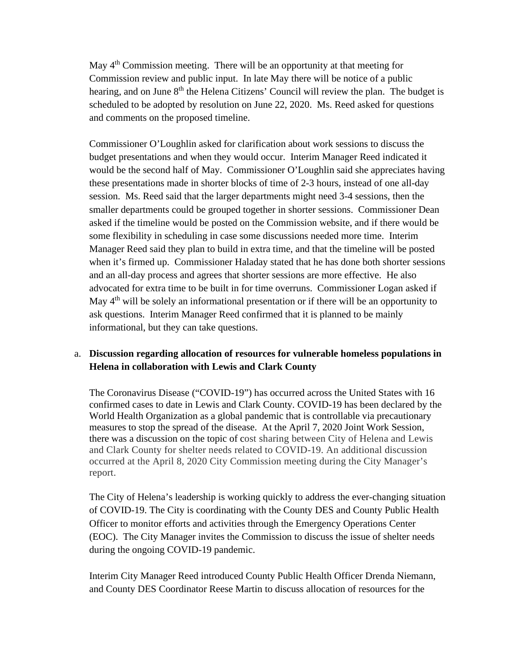May 4<sup>th</sup> Commission meeting. There will be an opportunity at that meeting for Commission review and public input. In late May there will be notice of a public hearing, and on June 8<sup>th</sup> the Helena Citizens' Council will review the plan. The budget is scheduled to be adopted by resolution on June 22, 2020. Ms. Reed asked for questions and comments on the proposed timeline.

Commissioner O'Loughlin asked for clarification about work sessions to discuss the budget presentations and when they would occur. Interim Manager Reed indicated it would be the second half of May. Commissioner O'Loughlin said she appreciates having these presentations made in shorter blocks of time of 2-3 hours, instead of one all-day session. Ms. Reed said that the larger departments might need 3-4 sessions, then the smaller departments could be grouped together in shorter sessions. Commissioner Dean asked if the timeline would be posted on the Commission website, and if there would be some flexibility in scheduling in case some discussions needed more time. Interim Manager Reed said they plan to build in extra time, and that the timeline will be posted when it's firmed up. Commissioner Haladay stated that he has done both shorter sessions and an all-day process and agrees that shorter sessions are more effective. He also advocated for extra time to be built in for time overruns. Commissioner Logan asked if May  $4<sup>th</sup>$  will be solely an informational presentation or if there will be an opportunity to ask questions. Interim Manager Reed confirmed that it is planned to be mainly informational, but they can take questions.

## a. **Discussion regarding allocation of resources for vulnerable homeless populations in Helena in collaboration with Lewis and Clark County**

The Coronavirus Disease ("COVID-19") has occurred across the United States with 16 confirmed cases to date in Lewis and Clark County. COVID-19 has been declared by the World Health Organization as a global pandemic that is controllable via precautionary measures to stop the spread of the disease. At the April 7, 2020 Joint Work Session, there was a discussion on the topic of cost sharing between City of Helena and Lewis and Clark County for shelter needs related to COVID-19. An additional discussion occurred at the April 8, 2020 City Commission meeting during the City Manager's report.

The City of Helena's leadership is working quickly to address the ever-changing situation of COVID-19. The City is coordinating with the County DES and County Public Health Officer to monitor efforts and activities through the Emergency Operations Center (EOC). The City Manager invites the Commission to discuss the issue of shelter needs during the ongoing COVID-19 pandemic.

Interim City Manager Reed introduced County Public Health Officer Drenda Niemann, and County DES Coordinator Reese Martin to discuss allocation of resources for the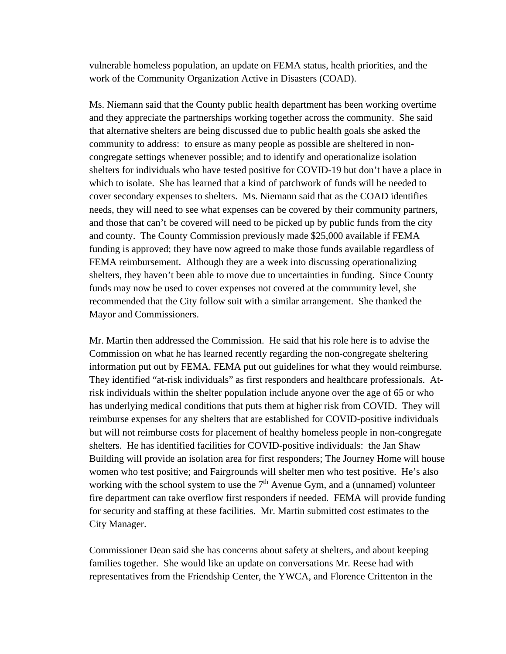vulnerable homeless population, an update on FEMA status, health priorities, and the work of the Community Organization Active in Disasters (COAD).

Ms. Niemann said that the County public health department has been working overtime and they appreciate the partnerships working together across the community. She said that alternative shelters are being discussed due to public health goals she asked the community to address: to ensure as many people as possible are sheltered in noncongregate settings whenever possible; and to identify and operationalize isolation shelters for individuals who have tested positive for COVID-19 but don't have a place in which to isolate. She has learned that a kind of patchwork of funds will be needed to cover secondary expenses to shelters. Ms. Niemann said that as the COAD identifies needs, they will need to see what expenses can be covered by their community partners, and those that can't be covered will need to be picked up by public funds from the city and county. The County Commission previously made \$25,000 available if FEMA funding is approved; they have now agreed to make those funds available regardless of FEMA reimbursement. Although they are a week into discussing operationalizing shelters, they haven't been able to move due to uncertainties in funding. Since County funds may now be used to cover expenses not covered at the community level, she recommended that the City follow suit with a similar arrangement. She thanked the Mayor and Commissioners.

Mr. Martin then addressed the Commission. He said that his role here is to advise the Commission on what he has learned recently regarding the non-congregate sheltering information put out by FEMA. FEMA put out guidelines for what they would reimburse. They identified "at-risk individuals" as first responders and healthcare professionals. Atrisk individuals within the shelter population include anyone over the age of 65 or who has underlying medical conditions that puts them at higher risk from COVID. They will reimburse expenses for any shelters that are established for COVID-positive individuals but will not reimburse costs for placement of healthy homeless people in non-congregate shelters. He has identified facilities for COVID-positive individuals: the Jan Shaw Building will provide an isolation area for first responders; The Journey Home will house women who test positive; and Fairgrounds will shelter men who test positive. He's also working with the school system to use the  $7<sup>th</sup>$  Avenue Gym, and a (unnamed) volunteer fire department can take overflow first responders if needed. FEMA will provide funding for security and staffing at these facilities. Mr. Martin submitted cost estimates to the City Manager.

Commissioner Dean said she has concerns about safety at shelters, and about keeping families together. She would like an update on conversations Mr. Reese had with representatives from the Friendship Center, the YWCA, and Florence Crittenton in the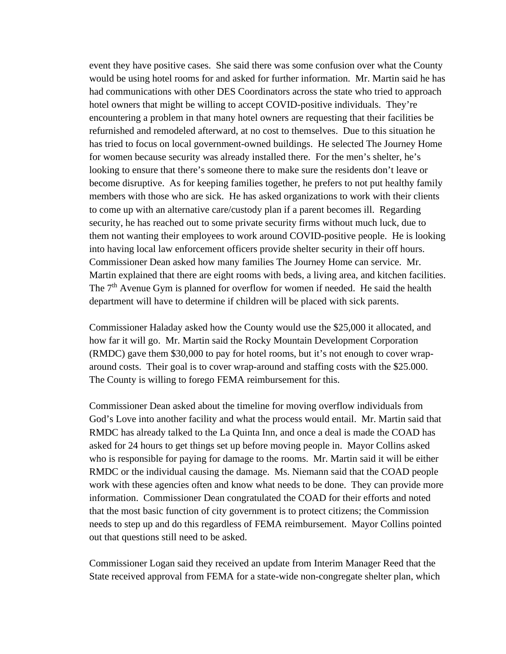event they have positive cases. She said there was some confusion over what the County would be using hotel rooms for and asked for further information. Mr. Martin said he has had communications with other DES Coordinators across the state who tried to approach hotel owners that might be willing to accept COVID-positive individuals. They're encountering a problem in that many hotel owners are requesting that their facilities be refurnished and remodeled afterward, at no cost to themselves. Due to this situation he has tried to focus on local government-owned buildings. He selected The Journey Home for women because security was already installed there. For the men's shelter, he's looking to ensure that there's someone there to make sure the residents don't leave or become disruptive. As for keeping families together, he prefers to not put healthy family members with those who are sick. He has asked organizations to work with their clients to come up with an alternative care/custody plan if a parent becomes ill. Regarding security, he has reached out to some private security firms without much luck, due to them not wanting their employees to work around COVID-positive people. He is looking into having local law enforcement officers provide shelter security in their off hours. Commissioner Dean asked how many families The Journey Home can service. Mr. Martin explained that there are eight rooms with beds, a living area, and kitchen facilities. The  $7<sup>th</sup>$  Avenue Gym is planned for overflow for women if needed. He said the health department will have to determine if children will be placed with sick parents.

Commissioner Haladay asked how the County would use the \$25,000 it allocated, and how far it will go. Mr. Martin said the Rocky Mountain Development Corporation (RMDC) gave them \$30,000 to pay for hotel rooms, but it's not enough to cover wraparound costs. Their goal is to cover wrap-around and staffing costs with the \$25.000. The County is willing to forego FEMA reimbursement for this.

Commissioner Dean asked about the timeline for moving overflow individuals from God's Love into another facility and what the process would entail. Mr. Martin said that RMDC has already talked to the La Quinta Inn, and once a deal is made the COAD has asked for 24 hours to get things set up before moving people in. Mayor Collins asked who is responsible for paying for damage to the rooms. Mr. Martin said it will be either RMDC or the individual causing the damage. Ms. Niemann said that the COAD people work with these agencies often and know what needs to be done. They can provide more information. Commissioner Dean congratulated the COAD for their efforts and noted that the most basic function of city government is to protect citizens; the Commission needs to step up and do this regardless of FEMA reimbursement. Mayor Collins pointed out that questions still need to be asked.

Commissioner Logan said they received an update from Interim Manager Reed that the State received approval from FEMA for a state-wide non-congregate shelter plan, which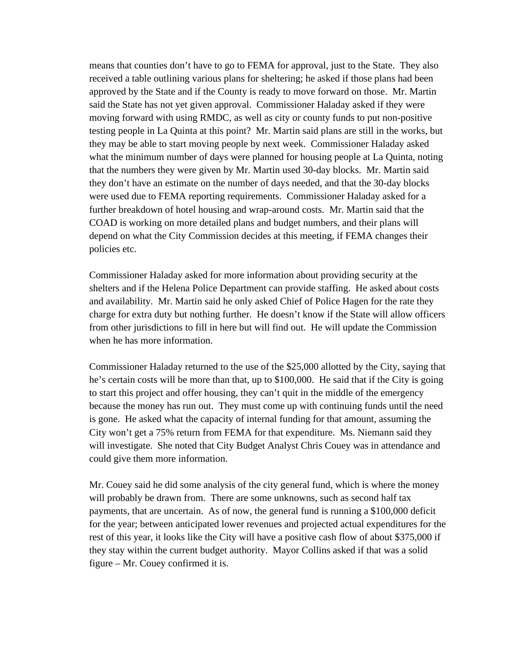means that counties don't have to go to FEMA for approval, just to the State. They also received a table outlining various plans for sheltering; he asked if those plans had been approved by the State and if the County is ready to move forward on those. Mr. Martin said the State has not yet given approval. Commissioner Haladay asked if they were moving forward with using RMDC, as well as city or county funds to put non-positive testing people in La Quinta at this point? Mr. Martin said plans are still in the works, but they may be able to start moving people by next week. Commissioner Haladay asked what the minimum number of days were planned for housing people at La Quinta, noting that the numbers they were given by Mr. Martin used 30-day blocks. Mr. Martin said they don't have an estimate on the number of days needed, and that the 30-day blocks were used due to FEMA reporting requirements. Commissioner Haladay asked for a further breakdown of hotel housing and wrap-around costs. Mr. Martin said that the COAD is working on more detailed plans and budget numbers, and their plans will depend on what the City Commission decides at this meeting, if FEMA changes their policies etc.

Commissioner Haladay asked for more information about providing security at the shelters and if the Helena Police Department can provide staffing. He asked about costs and availability. Mr. Martin said he only asked Chief of Police Hagen for the rate they charge for extra duty but nothing further. He doesn't know if the State will allow officers from other jurisdictions to fill in here but will find out. He will update the Commission when he has more information.

Commissioner Haladay returned to the use of the \$25,000 allotted by the City, saying that he's certain costs will be more than that, up to \$100,000. He said that if the City is going to start this project and offer housing, they can't quit in the middle of the emergency because the money has run out. They must come up with continuing funds until the need is gone. He asked what the capacity of internal funding for that amount, assuming the City won't get a 75% return from FEMA for that expenditure. Ms. Niemann said they will investigate. She noted that City Budget Analyst Chris Couey was in attendance and could give them more information.

Mr. Couey said he did some analysis of the city general fund, which is where the money will probably be drawn from. There are some unknowns, such as second half tax payments, that are uncertain. As of now, the general fund is running a \$100,000 deficit for the year; between anticipated lower revenues and projected actual expenditures for the rest of this year, it looks like the City will have a positive cash flow of about \$375,000 if they stay within the current budget authority. Mayor Collins asked if that was a solid figure – Mr. Couey confirmed it is.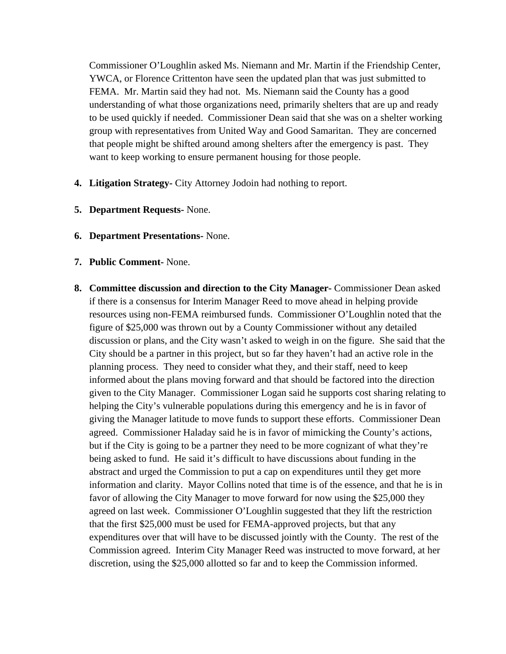Commissioner O'Loughlin asked Ms. Niemann and Mr. Martin if the Friendship Center, YWCA, or Florence Crittenton have seen the updated plan that was just submitted to FEMA. Mr. Martin said they had not. Ms. Niemann said the County has a good understanding of what those organizations need, primarily shelters that are up and ready to be used quickly if needed. Commissioner Dean said that she was on a shelter working group with representatives from United Way and Good Samaritan. They are concerned that people might be shifted around among shelters after the emergency is past. They want to keep working to ensure permanent housing for those people.

- **4. Litigation Strategy-** City Attorney Jodoin had nothing to report.
- **5. Department Requests-** None.
- **6. Department Presentations-** None.
- **7. Public Comment-** None.
- **8. Committee discussion and direction to the City Manager-** Commissioner Dean asked if there is a consensus for Interim Manager Reed to move ahead in helping provide resources using non-FEMA reimbursed funds. Commissioner O'Loughlin noted that the figure of \$25,000 was thrown out by a County Commissioner without any detailed discussion or plans, and the City wasn't asked to weigh in on the figure. She said that the City should be a partner in this project, but so far they haven't had an active role in the planning process. They need to consider what they, and their staff, need to keep informed about the plans moving forward and that should be factored into the direction given to the City Manager. Commissioner Logan said he supports cost sharing relating to helping the City's vulnerable populations during this emergency and he is in favor of giving the Manager latitude to move funds to support these efforts. Commissioner Dean agreed. Commissioner Haladay said he is in favor of mimicking the County's actions, but if the City is going to be a partner they need to be more cognizant of what they're being asked to fund. He said it's difficult to have discussions about funding in the abstract and urged the Commission to put a cap on expenditures until they get more information and clarity. Mayor Collins noted that time is of the essence, and that he is in favor of allowing the City Manager to move forward for now using the \$25,000 they agreed on last week. Commissioner O'Loughlin suggested that they lift the restriction that the first \$25,000 must be used for FEMA-approved projects, but that any expenditures over that will have to be discussed jointly with the County. The rest of the Commission agreed. Interim City Manager Reed was instructed to move forward, at her discretion, using the \$25,000 allotted so far and to keep the Commission informed.